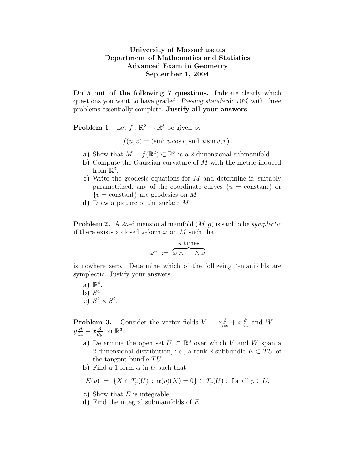## University of Massachusetts Department of Mathematics and Statistics Advanced Exam in Geometry September 1, 2004

Do 5 out of the following 7 questions. Indicate clearly which questions you want to have graded. Passing standard: 70% with three problems essentially complete. Justify all your answers.

**Problem 1.** Let  $f : \mathbb{R}^2 \to \mathbb{R}^3$  be given by

 $f(u, v) = (\sinh u \cos v, \sinh u \sin v, v).$ 

- a) Show that  $M = f(\mathbb{R}^2) \subset \mathbb{R}^3$  is a 2-dimensional submanifold.
- b) Compute the Gaussian curvature of  $M$  with the metric induced from  $\mathbb{R}^3$ .
- c) Write the geodesic equations for M and determine if, suitably parametrized, any of the coordinate curves  $\{u = constant\}$  or  ${v = constant}$  are geodesics on M.
- d) Draw a picture of the surface M.

**Problem 2.** A 2*n*-dimensional manifold  $(M, q)$  is said to be *symplectic* if there exists a closed 2-form  $\omega$  on M such that

$$
\omega^n := \frac{n \text{ times}}{\omega \wedge \cdots \wedge \omega}
$$

is nowhere zero. Determine which of the following 4-manifolds are symplectic. Justify your answers.

 $a) \mathbb{R}^4$ . b)  $S^4$ . c)  $S^2 \times S^2$ .

**Problem 3.** Consider the vector fields  $V = z \frac{\partial}{\partial x} + x \frac{\partial}{\partial z}$  and  $W =$  $y\frac{\partial}{\partial x} - x\frac{\partial}{\partial y}$  on  $\mathbb{R}^3$ .

- a) Determine the open set  $U \subset \mathbb{R}^3$  over which V and W span a 2-dimensional distribution, i.e., a rank 2 subbundle  $E \subset TU$  of the tangent bundle  $TU$ .
- b) Find a 1-form  $\alpha$  in U such that

$$
E(p) = \{X \in T_p(U) : \alpha(p)(X) = 0\} \subset T_p(U)
$$
; for all  $p \in U$ .

- c) Show that  $E$  is integrable.
- d) Find the integral submanifolds of E.